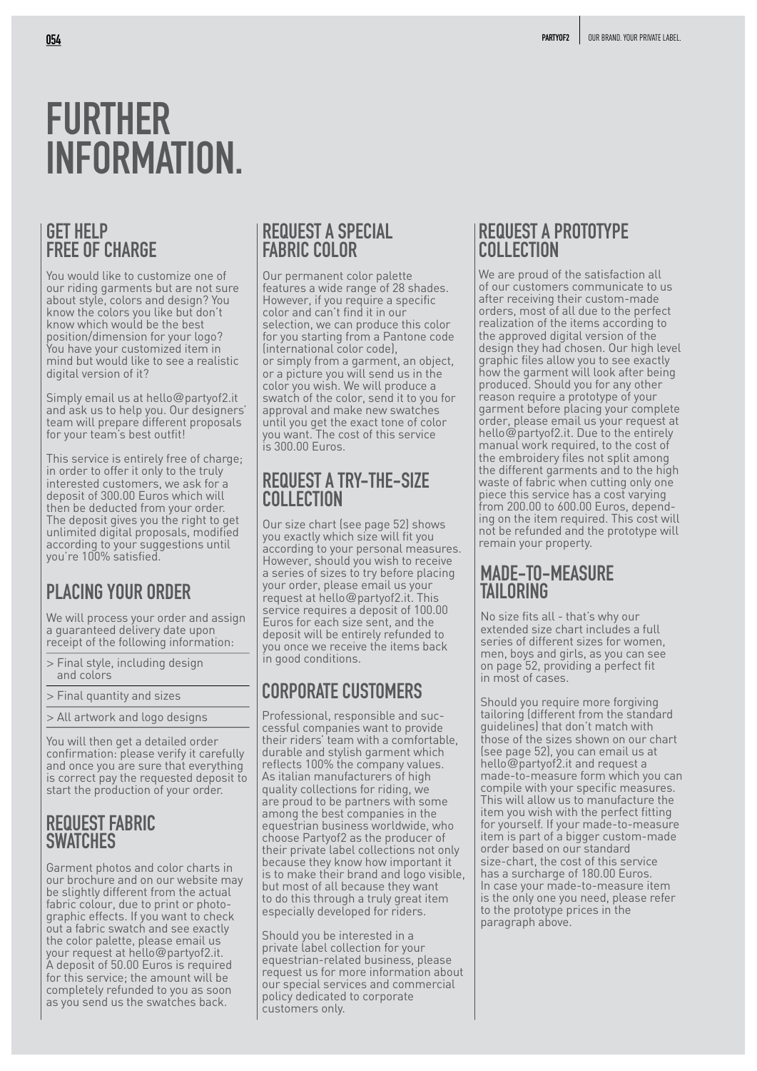# **FURTHER INFORMATION.**

### **GET HELP FREE OF CHARGE**

You would like to customize one of our riding garments but are not sure about style, colors and design? You know the colors you like but don't know which would be the best position/dimension for your logo? You have your customized item in mind but would like to see a realistic digital version of it?

Simply email us at hello@partyof2.it and ask us to help you. Our designers' team will prepare different proposals for your team's best outfit!

This service is entirely free of charge; in order to offer it only to the truly interested customers, we ask for a deposit of 300.00 Euros which will then be deducted from your order. The deposit gives you the right to get unlimited digital proposals, modified according to your suggestions until you're 100% satisfied.

We will process your order and assign a guaranteed delivery date upon receipt of the following information:

- > Final style, including design and colors
- > Final quantity and sizes
- > All artwork and logo designs

You will then get a detailed order confirmation: please verify it carefully and once you are sure that everything is correct pay the requested deposit to start the production of your order.

#### **REQUEST FABRIC SWATCHES**

Garment photos and color charts in our brochure and on our website may be slightly different from the actual fabric colour, due to print or photographic effects. If you want to check out a fabric swatch and see exactly the color palette, please email us your request at hello@partyof2.it. A deposit of 50.00 Euros is required for this service; the amount will be completely refunded to you as soon as you send us the swatches back.

#### **REQUEST A SPECIAL FABRIC COLOR**

Our permanent color palette features a wide range of 28 shades. However, if you require a specific color and can't find it in our selection, we can produce this color for you starting from a Pantone code (international color code), or simply from a garment, an object, or a picture you will send us in the color you wish. We will produce a swatch of the color, send it to you for approval and make new swatches until you get the exact tone of color you want. The cost of this service is 300.00 Euros.

#### **REQUEST A TRY-THE-SIZE COLLECTION**

Our size chart (see page 52) shows you exactly which size will fit you according to your personal measures. However, should you wish to receive a series of sizes to try before placing your order, please email us your **PLACING YOUR ORDER** The product at hello@partyof2.it. This TAILORING service requires a deposit of 100.00 Euros for each size sent, and the deposit will be entirely refunded to you once we receive the items back in good conditions.

# **CORPORATE CUSTOMERS**

Professional, responsible and successful companies want to provide their riders' team with a comfortable, durable and stylish garment which reflects 100% the company values. As italian manufacturers of high quality collections for riding, we are proud to be partners with some among the best companies in the equestrian business worldwide, who choose Partyof2 as the producer of their private label collections not only because they know how important it is to make their brand and logo visible, but most of all because they want to do this through a truly great item especially developed for riders.

Should you be interested in a private label collection for your equestrian-related business, please request us for more information about our special services and commercial policy dedicated to corporate customers only.

#### **REQUEST A PROTOTYPE COLLECTION**

We are proud of the satisfaction all of our customers communicate to us after receiving their custom-made orders, most of all due to the perfect realization of the items according to the approved digital version of the design they had chosen. Our high level graphic files allow you to see exactly how the garment will look after being produced. Should you for any other reason require a prototype of your garment before placing your complete order, please email us your request at hello@partyof2.it. Due to the entirely manual work required, to the cost of the embroidery files not split among the different garments and to the high waste of fabric when cutting only one piece this service has a cost varying from 200.00 to 600.00 Euros, depending on the item required. This cost will not be refunded and the prototype will remain your property.

# **MADE-TO-MEASURE**

No size fits all - that's why our extended size chart includes a full series of different sizes for women, men, boys and girls, as you can see on page 52, providing a perfect fit in most of cases.

Should you require more forgiving tailoring (different from the standard guidelines) that don't match with those of the sizes shown on our chart (see page 52), you can email us at hello@partyof2.it and request a made-to-measure form which you can compile with your specific measures. This will allow us to manufacture the item you wish with the perfect fitting for yourself. If your made-to-measure item is part of a bigger custom-made order based on our standard size-chart, the cost of this service has a surcharge of 180.00 Euros. In case your made-to-measure item is the only one you need, please refer to the prototype prices in the paragraph above.